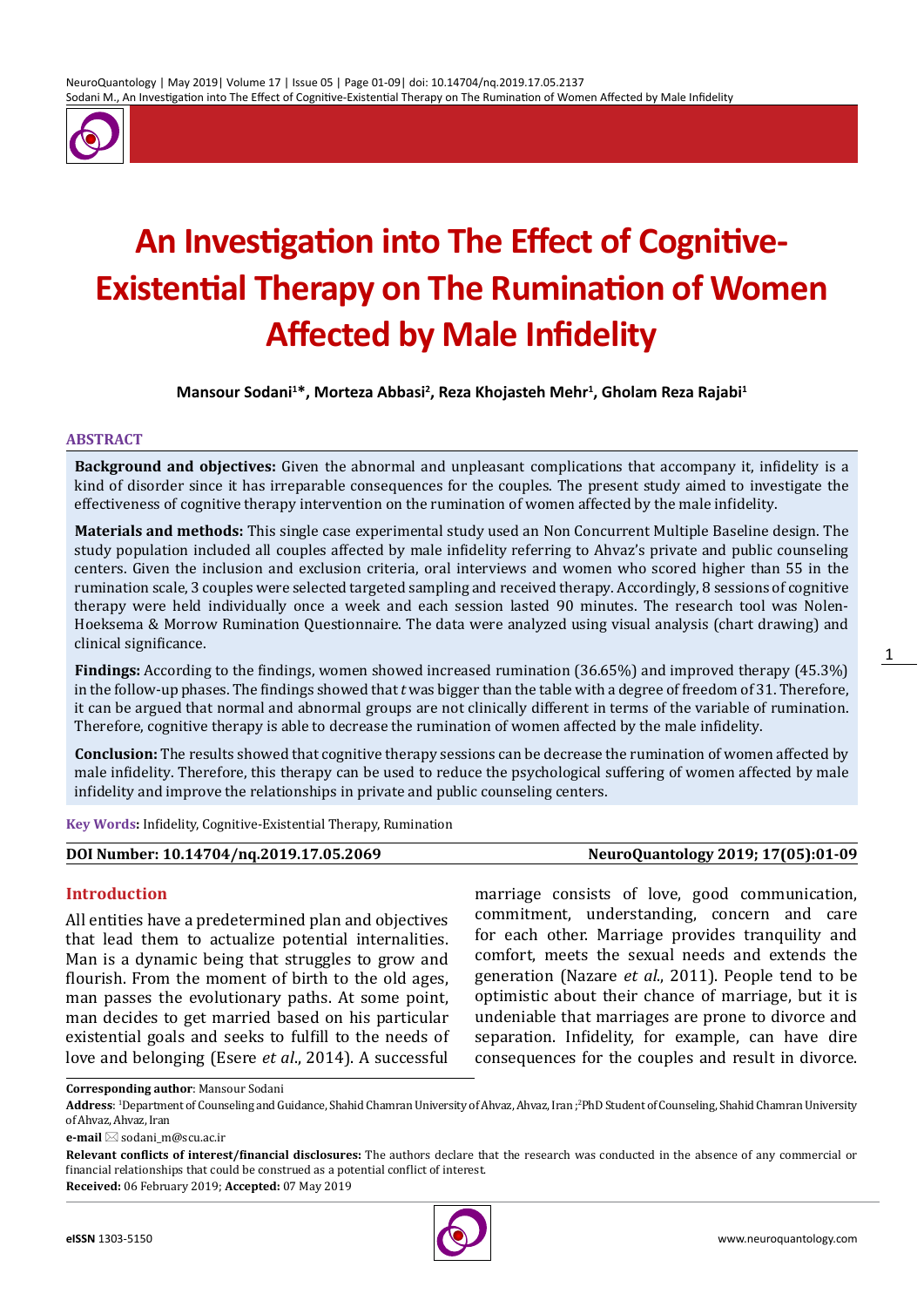

# **An Investigation into The Effect of Cognitive-Existential Therapy on The Rumination of Women Affected by Male Infidelity**

**Mansour Sodani<sup>1</sup> \*, Morteza Abbasi<sup>2</sup> , Reza Khojasteh Mehr<sup>1</sup> , Gholam Reza Rajabi<sup>1</sup>**

#### **ABSTRACT**

**Background and objectives:** Given the abnormal and unpleasant complications that accompany it, infidelity is a kind of disorder since it has irreparable consequences for the couples. The present study aimed to investigate the effectiveness of cognitive therapy intervention on the rumination of women affected by the male infidelity.

**Materials and methods:** This single case experimental study used an Non Concurrent Multiple Baseline design. The study population included all couples affected by male infidelity referring to Ahvaz's private and public counseling centers. Given the inclusion and exclusion criteria, oral interviews and women who scored higher than 55 in the rumination scale, 3 couples were selected targeted sampling and received therapy. Accordingly, 8 sessions of cognitive therapy were held individually once a week and each session lasted 90 minutes. The research tool was Nolen-Hoeksema & Morrow Rumination Questionnaire. The data were analyzed using visual analysis (chart drawing) and clinical significance.

**Findings:** According to the findings, women showed increased rumination (36.65%) and improved therapy (45.3%) in the follow-up phases. The findings showed that *t* was bigger than the table with a degree of freedom of 31. Therefore, it can be argued that normal and abnormal groups are not clinically different in terms of the variable of rumination. Therefore, cognitive therapy is able to decrease the rumination of women affected by the male infidelity.

**Conclusion:** The results showed that cognitive therapy sessions can be decrease the rumination of women affected by male infidelity. Therefore, this therapy can be used to reduce the psychological suffering of women affected by male infidelity and improve the relationships in private and public counseling centers.

**Key Words:** Infidelity, Cognitive-Existential Therapy, Rumination

# **DOI Number: 10.14704/nq.2019.17.05.2069 NeuroQuantology 2019; 17(05):01-09**

#### **Introduction**

All entities have a predetermined plan and objectives that lead them to actualize potential internalities. Man is a dynamic being that struggles to grow and flourish. From the moment of birth to the old ages, man passes the evolutionary paths. At some point, man decides to get married based on his particular existential goals and seeks to fulfill to the needs of love and belonging (Esere *et al*., 2014). A successful

marriage consists of love, good communication, commitment, understanding, concern and care for each other. Marriage provides tranquility and comfort, meets the sexual needs and extends the generation (Nazare *et al*., 2011). People tend to be optimistic about their chance of marriage, but it is undeniable that marriages are prone to divorce and separation. Infidelity, for example, can have dire consequences for the couples and result in divorce.

**Corresponding author**: Mansour Sodani

**Address**: <sup>1</sup> Department of Counseling and Guidance, Shahid Chamran University of Ahvaz, Ahvaz, Iran ;2 PhD Student of Counseling, Shahid Chamran University of Ahvaz, Ahvaz, Iran

**e-mail** ⊠ sodani\_m@scu.ac.ir

**Relevant conflicts of interest/financial disclosures:** The authors declare that the research was conducted in the absence of any commercial or financial relationships that could be construed as a potential conflict of interest.

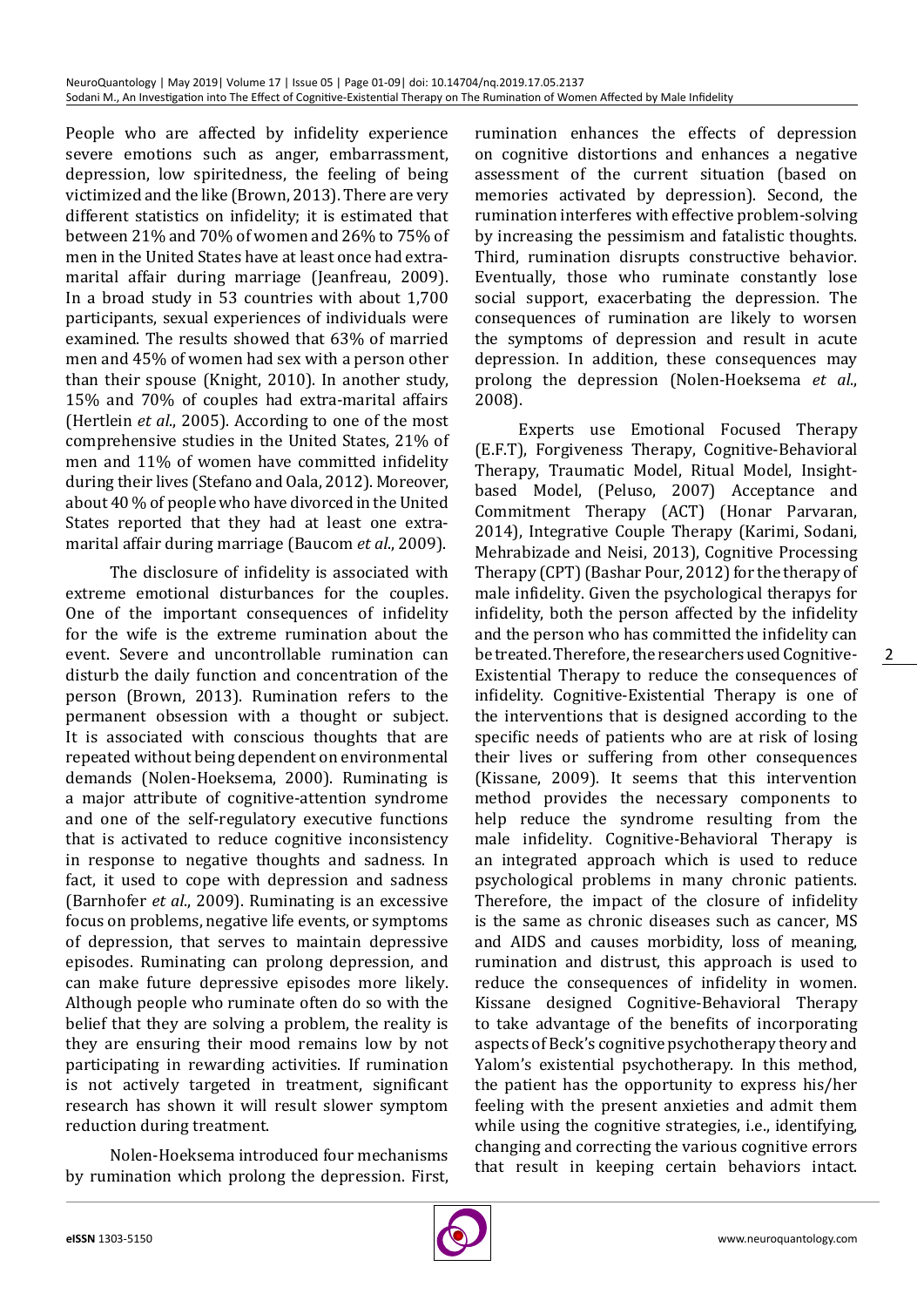People who are affected by infidelity experience severe emotions such as anger, embarrassment, depression, low spiritedness, the feeling of being victimized and the like (Brown, 2013). There are very different statistics on infidelity; it is estimated that between 21% and 70% of women and 26% to 75% of men in the United States have at least once had extramarital affair during marriage (Jeanfreau, 2009). In a broad study in 53 countries with about 1,700 participants, sexual experiences of individuals were examined. The results showed that 63% of married men and 45% of women had sex with a person other than their spouse (Knight, 2010). In another study, 15% and 70% of couples had extra-marital affairs (Hertlein *et al*., 2005). According to one of the most comprehensive studies in the United States, 21% of men and 11% of women have committed infidelity during their lives (Stefano and Oala, 2012). Moreover, about 40 % of people who have divorced in the United States reported that they had at least one extramarital affair during marriage (Baucom *et al*., 2009).

The disclosure of infidelity is associated with extreme emotional disturbances for the couples. One of the important consequences of infidelity for the wife is the extreme rumination about the event. Severe and uncontrollable rumination can disturb the daily function and concentration of the person (Brown, 2013). Rumination refers to the permanent obsession with a thought or subject. It is associated with conscious thoughts that are repeated without being dependent on environmental demands (Nolen-Hoeksema, 2000). Ruminating is a major attribute of cognitive-attention syndrome and one of the self-regulatory executive functions that is activated to reduce cognitive inconsistency in response to negative thoughts and sadness. In fact, it used to cope with depression and sadness (Barnhofer *et al*., 2009). Ruminating is an excessive focus on problems, negative life events, or symptoms of depression, that serves to maintain depressive episodes. Ruminating can prolong depression, and can make future depressive episodes more likely. Although people who ruminate often do so with the belief that they are solving a problem, the reality is they are ensuring their mood remains low by not participating in rewarding activities. If rumination is not actively targeted in treatment, significant research has shown it will result slower symptom reduction during treatment.

Nolen-Hoeksema introduced four mechanisms by rumination which prolong the depression. First,

rumination enhances the effects of depression on cognitive distortions and enhances a negative assessment of the current situation (based on memories activated by depression). Second, the rumination interferes with effective problem-solving by increasing the pessimism and fatalistic thoughts. Third, rumination disrupts constructive behavior. Eventually, those who ruminate constantly lose social support, exacerbating the depression. The consequences of rumination are likely to worsen the symptoms of depression and result in acute depression. In addition, these consequences may prolong the depression (Nolen-Hoeksema *et al*., 2008).

Experts use Emotional Focused Therapy (E.F.T), Forgiveness Therapy, Cognitive-Behavioral Therapy, Traumatic Model, Ritual Model, Insightbased Model, (Peluso, 2007) Acceptance and Commitment Therapy (ACT) (Honar Parvaran, 2014), Integrative Couple Therapy (Karimi, Sodani, Mehrabizade and Neisi, 2013), Cognitive Processing Therapy (CPT) (Bashar Pour, 2012) for the therapy of male infidelity. Given the psychological therapys for infidelity, both the person affected by the infidelity and the person who has committed the infidelity can be treated. Therefore, the researchers used Cognitive-Existential Therapy to reduce the consequences of infidelity. Cognitive-Existential Therapy is one of the interventions that is designed according to the specific needs of patients who are at risk of losing their lives or suffering from other consequences (Kissane, 2009). It seems that this intervention method provides the necessary components to help reduce the syndrome resulting from the male infidelity. Cognitive-Behavioral Therapy is an integrated approach which is used to reduce psychological problems in many chronic patients. Therefore, the impact of the closure of infidelity is the same as chronic diseases such as cancer, MS and AIDS and causes morbidity, loss of meaning, rumination and distrust, this approach is used to reduce the consequences of infidelity in women. Kissane designed Cognitive-Behavioral Therapy to take advantage of the benefits of incorporating aspects of Beck's cognitive psychotherapy theory and Yalom's existential psychotherapy. In this method, the patient has the opportunity to express his/her feeling with the present anxieties and admit them while using the cognitive strategies, i.e., identifying, changing and correcting the various cognitive errors that result in keeping certain behaviors intact.



 $\mathcal{P}$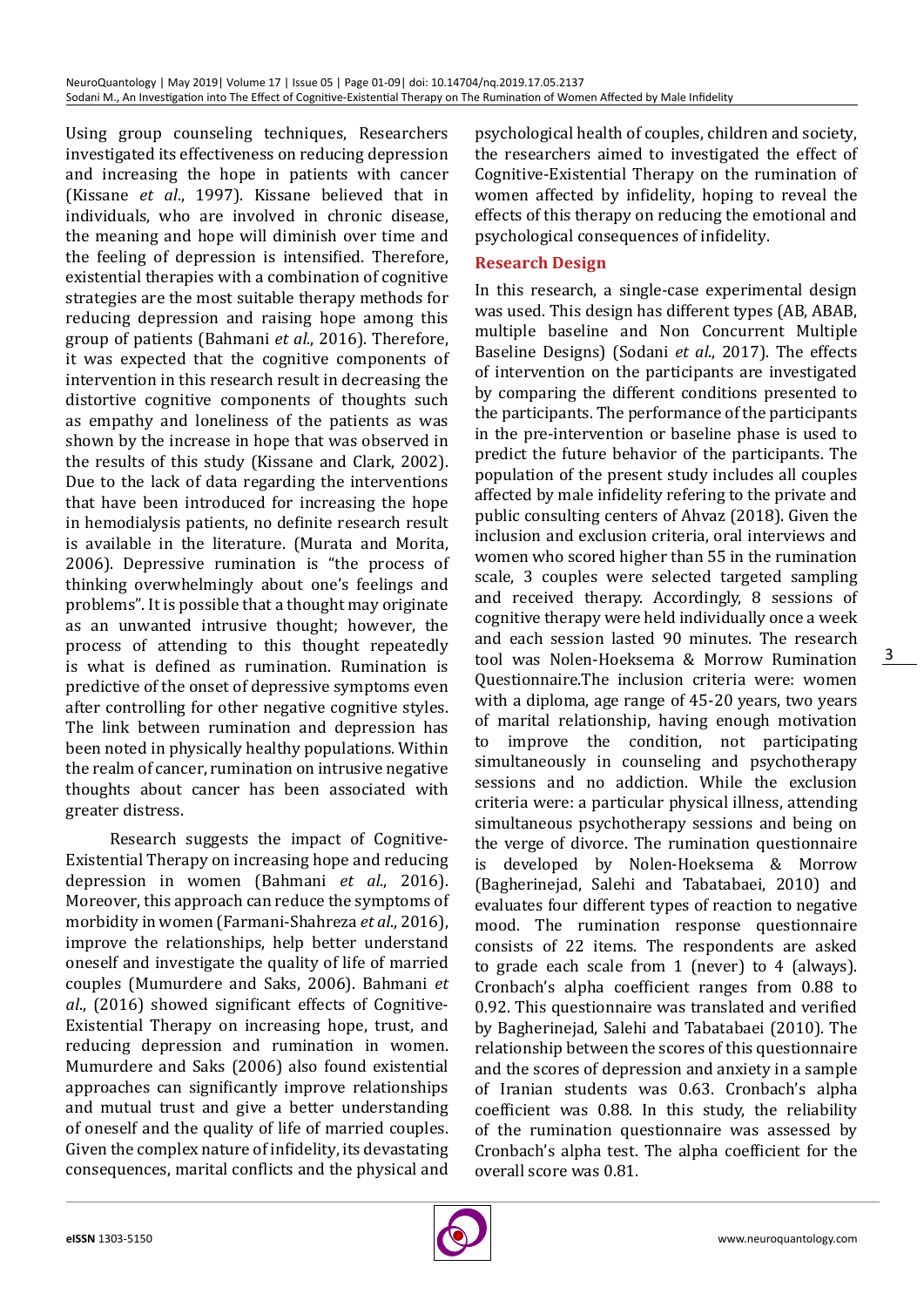Using group counseling techniques, Researchers investigated its effectiveness on reducing depression and increasing the hope in patients with cancer (Kissane *et al*., 1997). Kissane believed that in individuals, who are involved in chronic disease, the meaning and hope will diminish over time and the feeling of depression is intensified. Therefore, existential therapies with a combination of cognitive strategies are the most suitable therapy methods for reducing depression and raising hope among this group of patients (Bahmani *et al*., 2016). Therefore, it was expected that the cognitive components of intervention in this research result in decreasing the distortive cognitive components of thoughts such as empathy and loneliness of the patients as was shown by the increase in hope that was observed in the results of this study (Kissane and Clark, 2002). Due to the lack of data regarding the interventions that have been introduced for increasing the hope in hemodialysis patients, no definite research result is available in the literature. (Murata and Morita, 2006). Depressive rumination is "the process of thinking overwhelmingly about one's feelings and problems". It is possible that a thought may originate as an unwanted intrusive thought; however, the process of attending to this thought repeatedly is what is defined as rumination. Rumination is predictive of the onset of depressive symptoms even after controlling for other negative cognitive styles. The link between rumination and depression has been noted in physically healthy populations. Within the realm of cancer, rumination on intrusive negative thoughts about cancer has been associated with greater distress.

Research suggests the impact of Cognitive-Existential Therapy on increasing hope and reducing depression in women (Bahmani *et al*., 2016). Moreover, this approach can reduce the symptoms of morbidity in women (Farmani-Shahreza *et al*., 2016), improve the relationships, help better understand oneself and investigate the quality of life of married couples (Mumurdere and Saks, 2006). Bahmani *et al*., (2016) showed significant effects of Cognitive-Existential Therapy on increasing hope, trust, and reducing depression and rumination in women. Mumurdere and Saks (2006) also found existential approaches can significantly improve relationships and mutual trust and give a better understanding of oneself and the quality of life of married couples. Given the complex nature of infidelity, its devastating consequences, marital conflicts and the physical and

psychological health of couples, children and society, the researchers aimed to investigated the effect of Cognitive-Existential Therapy on the rumination of women affected by infidelity, hoping to reveal the effects of this therapy on reducing the emotional and psychological consequences of infidelity.

## **Research Design**

In this research, a single-case experimental design was used. This design has different types (AB, ABAB, multiple baseline and Non Concurrent Multiple Baseline Designs) (Sodani *et al*., 2017). The effects of intervention on the participants are investigated by comparing the different conditions presented to the participants. The performance of the participants in the pre-intervention or baseline phase is used to predict the future behavior of the participants. The population of the present study includes all couples affected by male infidelity refering to the private and public consulting centers of Ahvaz (2018). Given the inclusion and exclusion criteria, oral interviews and women who scored higher than 55 in the rumination scale, 3 couples were selected targeted sampling and received therapy. Accordingly, 8 sessions of cognitive therapy were held individually once a week and each session lasted 90 minutes. The research tool was Nolen-Hoeksema & Morrow Rumination Questionnaire.The inclusion criteria were: women with a diploma, age range of 45-20 years, two years of marital relationship, having enough motivation to improve the condition, not participating simultaneously in counseling and psychotherapy sessions and no addiction. While the exclusion criteria were: a particular physical illness, attending simultaneous psychotherapy sessions and being on the verge of divorce. The rumination questionnaire is developed by Nolen-Hoeksema & Morrow (Bagherinejad, Salehi and Tabatabaei, 2010) and evaluates four different types of reaction to negative mood. The rumination response questionnaire consists of 22 items. The respondents are asked to grade each scale from 1 (never) to 4 (always). Cronbach's alpha coefficient ranges from 0.88 to 0.92. This questionnaire was translated and verified by Bagherinejad, Salehi and Tabatabaei (2010). The relationship between the scores of this questionnaire and the scores of depression and anxiety in a sample of Iranian students was 0.63. Cronbach's alpha coefficient was 0.88. In this study, the reliability of the rumination questionnaire was assessed by Cronbach's alpha test. The alpha coefficient for the overall score was 0.81.

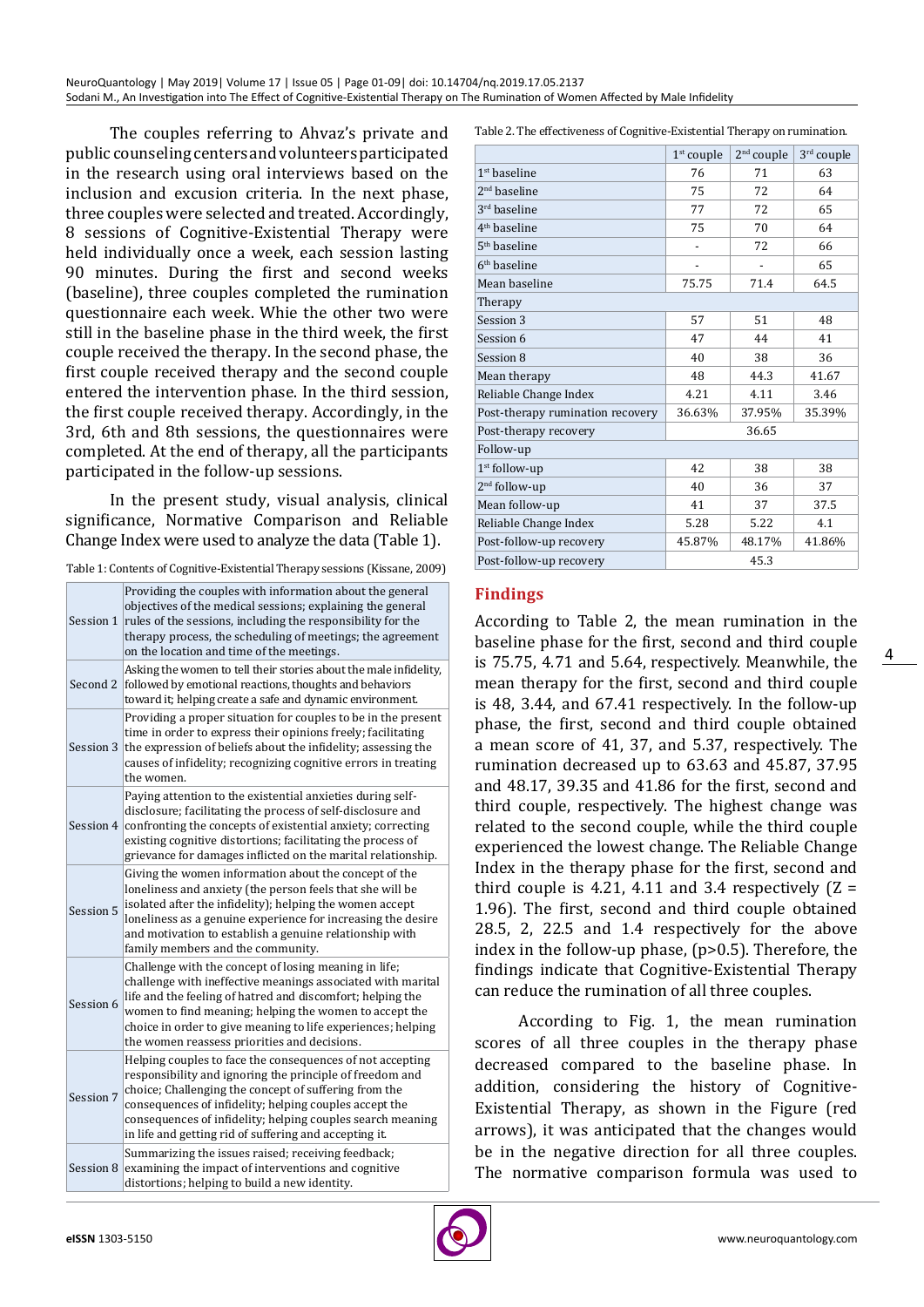The couples referring to Ahvaz's private and public counseling centers and volunteers participated in the research using oral interviews based on the inclusion and excusion criteria. In the next phase, three couples were selected and treated. Accordingly, 8 sessions of Cognitive-Existential Therapy were held individually once a week, each session lasting 90 minutes. During the first and second weeks (baseline), three couples completed the rumination questionnaire each week. Whie the other two were still in the baseline phase in the third week, the first couple received the therapy. In the second phase, the first couple received therapy and the second couple entered the intervention phase. In the third session, the first couple received therapy. Accordingly, in the 3rd, 6th and 8th sessions, the questionnaires were completed. At the end of therapy, all the participants participated in the follow-up sessions.

In the present study, visual analysis, clinical significance, Normative Comparison and Reliable Change Index were used to analyze the data (Table 1).

Table 1: Contents of Cognitive-Existential Therapy sessions (Kissane, 2009)

| Session 1 | Providing the couples with information about the general<br>objectives of the medical sessions; explaining the general<br>rules of the sessions, including the responsibility for the<br>therapy process, the scheduling of meetings; the agreement<br>on the location and time of the meetings.                                                                 |  |  |  |
|-----------|------------------------------------------------------------------------------------------------------------------------------------------------------------------------------------------------------------------------------------------------------------------------------------------------------------------------------------------------------------------|--|--|--|
| Second 2  | Asking the women to tell their stories about the male infidelity,<br>followed by emotional reactions, thoughts and behaviors<br>toward it; helping create a safe and dynamic environment.                                                                                                                                                                        |  |  |  |
|           | Providing a proper situation for couples to be in the present<br>time in order to express their opinions freely; facilitating<br>Session 3 the expression of beliefs about the infidelity; assessing the<br>causes of infidelity; recognizing cognitive errors in treating<br>the women.                                                                         |  |  |  |
|           | Paying attention to the existential anxieties during self-<br>disclosure; facilitating the process of self-disclosure and<br>Session 4 confronting the concepts of existential anxiety; correcting<br>existing cognitive distortions; facilitating the process of<br>grievance for damages inflicted on the marital relationship.                                |  |  |  |
| Session 5 | Giving the women information about the concept of the<br>loneliness and anxiety (the person feels that she will be<br>isolated after the infidelity); helping the women accept<br>loneliness as a genuine experience for increasing the desire<br>and motivation to establish a genuine relationship with<br>family members and the community.                   |  |  |  |
| Session 6 | Challenge with the concept of losing meaning in life;<br>challenge with ineffective meanings associated with marital<br>life and the feeling of hatred and discomfort; helping the<br>women to find meaning; helping the women to accept the<br>choice in order to give meaning to life experiences; helping<br>the women reassess priorities and decisions.     |  |  |  |
| Session 7 | Helping couples to face the consequences of not accepting<br>responsibility and ignoring the principle of freedom and<br>choice; Challenging the concept of suffering from the<br>consequences of infidelity; helping couples accept the<br>consequences of infidelity; helping couples search meaning<br>in life and getting rid of suffering and accepting it. |  |  |  |
|           | Summarizing the issues raised; receiving feedback;<br>Session 8 examining the impact of interventions and cognitive<br>distortions; helping to build a new identity.                                                                                                                                                                                             |  |  |  |

Table 2. The effectiveness of Cognitive-Existential Therapy on rumination.

|                                  | $1st$ couple             | 2 <sup>nd</sup> couple   | 3rd couple |  |  |
|----------------------------------|--------------------------|--------------------------|------------|--|--|
| $1st$ baseline                   | 76                       | 71                       | 63         |  |  |
| 2 <sup>nd</sup> baseline         | 75                       | 72                       | 64         |  |  |
| 3 <sup>rd</sup> baseline         | 77                       | 72                       | 65         |  |  |
| 4 <sup>th</sup> baseline         | 75                       | 70                       | 64         |  |  |
| 5 <sup>th</sup> baseline         | $\overline{\phantom{0}}$ | 72                       | 66         |  |  |
| 6 <sup>th</sup> baseline         | $\overline{\phantom{0}}$ | $\overline{\phantom{a}}$ | 65         |  |  |
| Mean baseline                    | 75.75                    | 71.4                     | 64.5       |  |  |
| Therapy                          |                          |                          |            |  |  |
| Session 3                        | 57                       | 51                       | 48         |  |  |
| Session 6                        | 47                       | 44                       | 41         |  |  |
| Session 8                        | 40                       | 38                       | 36         |  |  |
| Mean therapy                     | 48                       | 44.3                     | 41.67      |  |  |
| Reliable Change Index            | 4.21                     | 4.11                     | 3.46       |  |  |
| Post-therapy rumination recovery | 36.63%                   | 37.95%                   | 35.39%     |  |  |
| Post-therapy recovery            | 36.65                    |                          |            |  |  |
| Follow-up                        |                          |                          |            |  |  |
| 1 <sup>st</sup> follow-up        | 42                       | 38                       | 38         |  |  |
| 2 <sup>nd</sup> follow-up        | 40                       | 36                       | 37         |  |  |
| Mean follow-up                   | 41                       | 37                       | 37.5       |  |  |
| Reliable Change Index            | 5.28                     | 5.22                     | 4.1        |  |  |
| Post-follow-up recovery          | 45.87%                   | 48.17%                   | 41.86%     |  |  |
| Post-follow-up recovery          | 45.3                     |                          |            |  |  |

# **Findings**

According to Table 2, the mean rumination in the baseline phase for the first, second and third couple is 75.75, 4.71 and 5.64, respectively. Meanwhile, the mean therapy for the first, second and third couple is 48, 3.44, and 67.41 respectively. In the follow-up phase, the first, second and third couple obtained a mean score of 41, 37, and 5.37, respectively. The rumination decreased up to 63.63 and 45.87, 37.95 and 48.17, 39.35 and 41.86 for the first, second and third couple, respectively. The highest change was related to the second couple, while the third couple experienced the lowest change. The Reliable Change Index in the therapy phase for the first, second and third couple is 4.21, 4.11 and 3.4 respectively  $(Z =$ 1.96). The first, second and third couple obtained 28.5, 2, 22.5 and 1.4 respectively for the above index in the follow-up phase, (p>0.5). Therefore, the findings indicate that Cognitive-Existential Therapy can reduce the rumination of all three couples.

According to Fig. 1, the mean rumination scores of all three couples in the therapy phase decreased compared to the baseline phase. In addition, considering the history of Cognitive-Existential Therapy, as shown in the Figure (red arrows), it was anticipated that the changes would be in the negative direction for all three couples. The normative comparison formula was used to

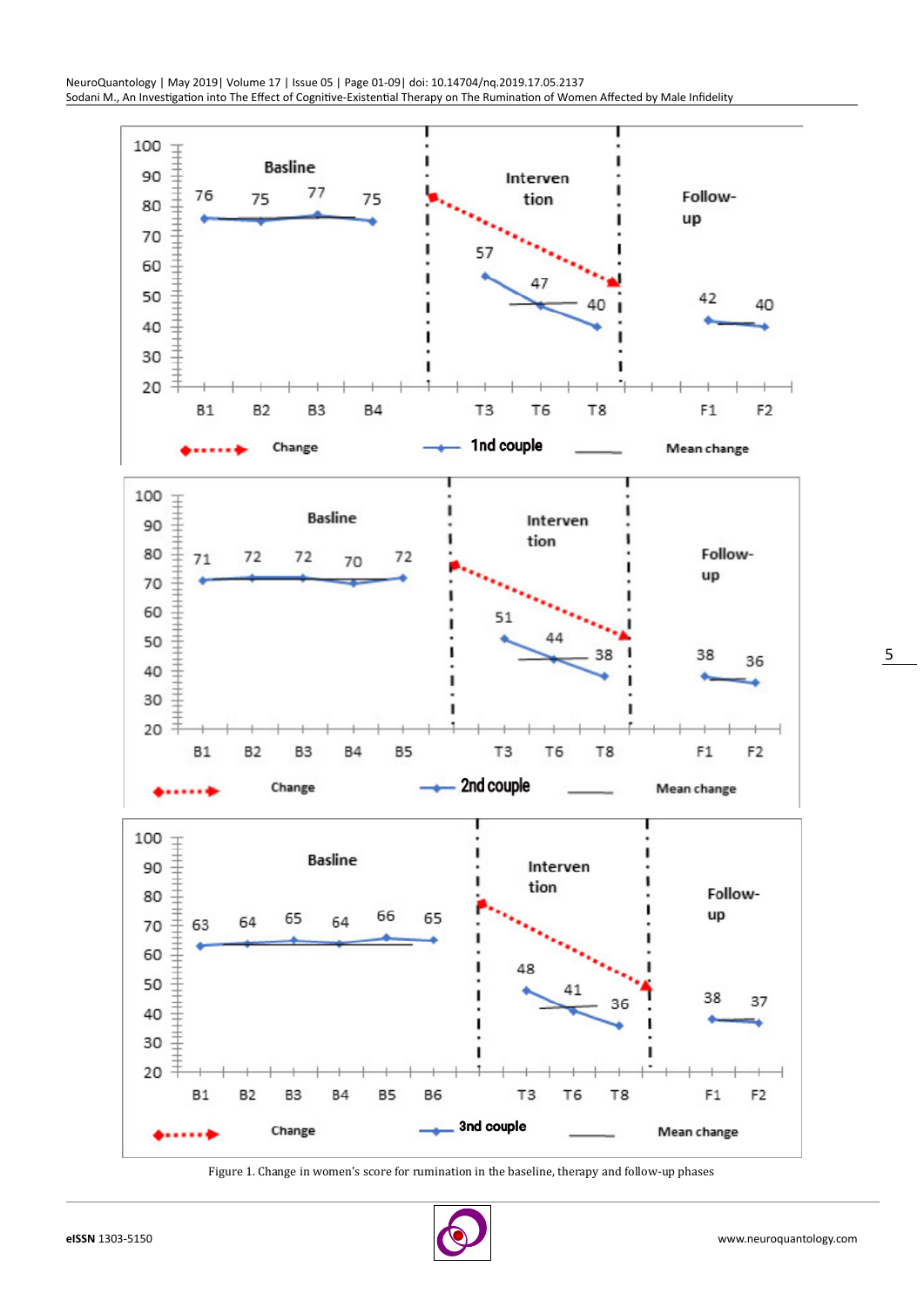

Figure 1. Change in women's score for rumination in the baseline, therapy and follow-up phases

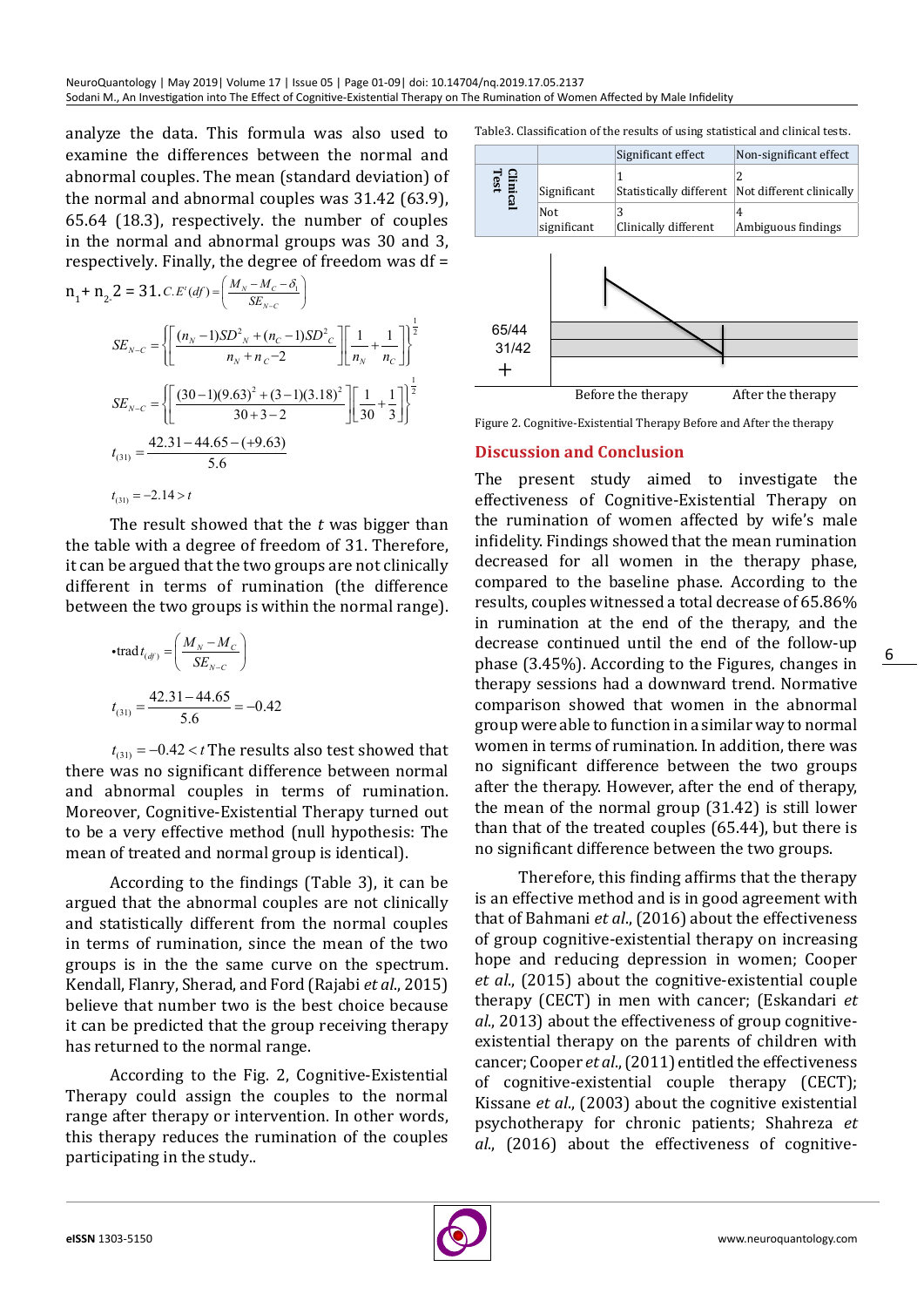analyze the data. This formula was also used to examine the differences between the normal and abnormal couples. The mean (standard deviation) of the normal and abnormal couples was 31.42 (63.9), 65.64 (18.3), respectively. the number of couples in the normal and abnormal groups was 30 and 3, respectively. Finally, the degree of freedom was df =

$$
n_{1} + n_{2} \cdot 2 = 31. c.E'(df) = \left(\frac{M_{N} - M_{C} - \delta_{1}}{SE_{N-C}}\right)
$$
  
\n
$$
SE_{N-C} = \left\{\left[\frac{(n_{N} - 1)SD^{2}{}_{N} + (n_{C} - 1)SD^{2}{}_{C}}{n_{N} + n_{C} - 2}\right]\left[\frac{1}{n_{N}} + \frac{1}{n_{C}}\right]\right\}^{\frac{1}{2}}
$$
  
\n
$$
SE_{N-C} = \left\{\left[\frac{(30 - 1)(9.63)^{2} + (3 - 1)(3.18)^{2}}{30 + 3 - 2}\right]\left[\frac{1}{30} + \frac{1}{3}\right]\right\}^{\frac{1}{2}}
$$
  
\n
$$
t_{(31)} = \frac{42.31 - 44.65 - (+9.63)}{5.6}
$$
  
\n
$$
t_{(31)} = -2.14 > t
$$

The result showed that the *t* was bigger than the table with a degree of freedom of 31. Therefore, it can be argued that the two groups are not clinically different in terms of rumination (the difference between the two groups is within the normal range).

$$
\text{-trad}\, t_{(df)} = \left(\frac{M_N - M_C}{SE_{N-C}}\right)
$$
\n
$$
t_{(31)} = \frac{42.31 - 44.65}{5.6} = -0.42
$$

 $t_{(31)} = -0.42 < t$  The results also test showed that there was no significant difference between normal and abnormal couples in terms of rumination. Moreover, Cognitive-Existential Therapy turned out to be a very effective method (null hypothesis: The mean of treated and normal group is identical).

According to the findings (Table 3), it can be argued that the abnormal couples are not clinically and statistically different from the normal couples in terms of rumination, since the mean of the two groups is in the the same curve on the spectrum. Kendall, Flanry, Sherad, and Ford (Rajabi *et al*., 2015) believe that number two is the best choice because it can be predicted that the group receiving therapy has returned to the normal range.

According to the Fig. 2, Cognitive-Existential Therapy could assign the couples to the normal range after therapy or intervention. In other words, this therapy reduces the rumination of the couples participating in the study..

Table3. Classification of the results of using statistical and clinical tests.



Figure 2. Cognitive-Existential Therapy Before and After the therapy

### **Discussion and Conclusion**

The present study aimed to investigate the effectiveness of Cognitive-Existential Therapy on the rumination of women affected by wife's male infidelity. Findings showed that the mean rumination decreased for all women in the therapy phase, compared to the baseline phase. According to the results, couples witnessed a total decrease of 65.86% in rumination at the end of the therapy, and the decrease continued until the end of the follow-up phase (3.45%). According to the Figures, changes in therapy sessions had a downward trend. Normative comparison showed that women in the abnormal group were able to function in a similar way to normal women in terms of rumination. In addition, there was no significant difference between the two groups after the therapy. However, after the end of therapy, the mean of the normal group (31.42) is still lower than that of the treated couples (65.44), but there is no significant difference between the two groups.

Therefore, this finding affirms that the therapy is an effective method and is in good agreement with that of Bahmani *et al*., (2016) about the effectiveness of group cognitive-existential therapy on increasing hope and reducing depression in women; Cooper *et al*., (2015) about the cognitive-existential couple therapy (CECT) in men with cancer; (Eskandari *et al*., 2013) about the effectiveness of group cognitiveexistential therapy on the parents of children with cancer; Cooper *et al*., (2011) entitled the effectiveness of cognitive-existential couple therapy (CECT); Kissane *et al*., (2003) about the cognitive existential psychotherapy for chronic patients; Shahreza *et al*., (2016) about the effectiveness of cognitive-

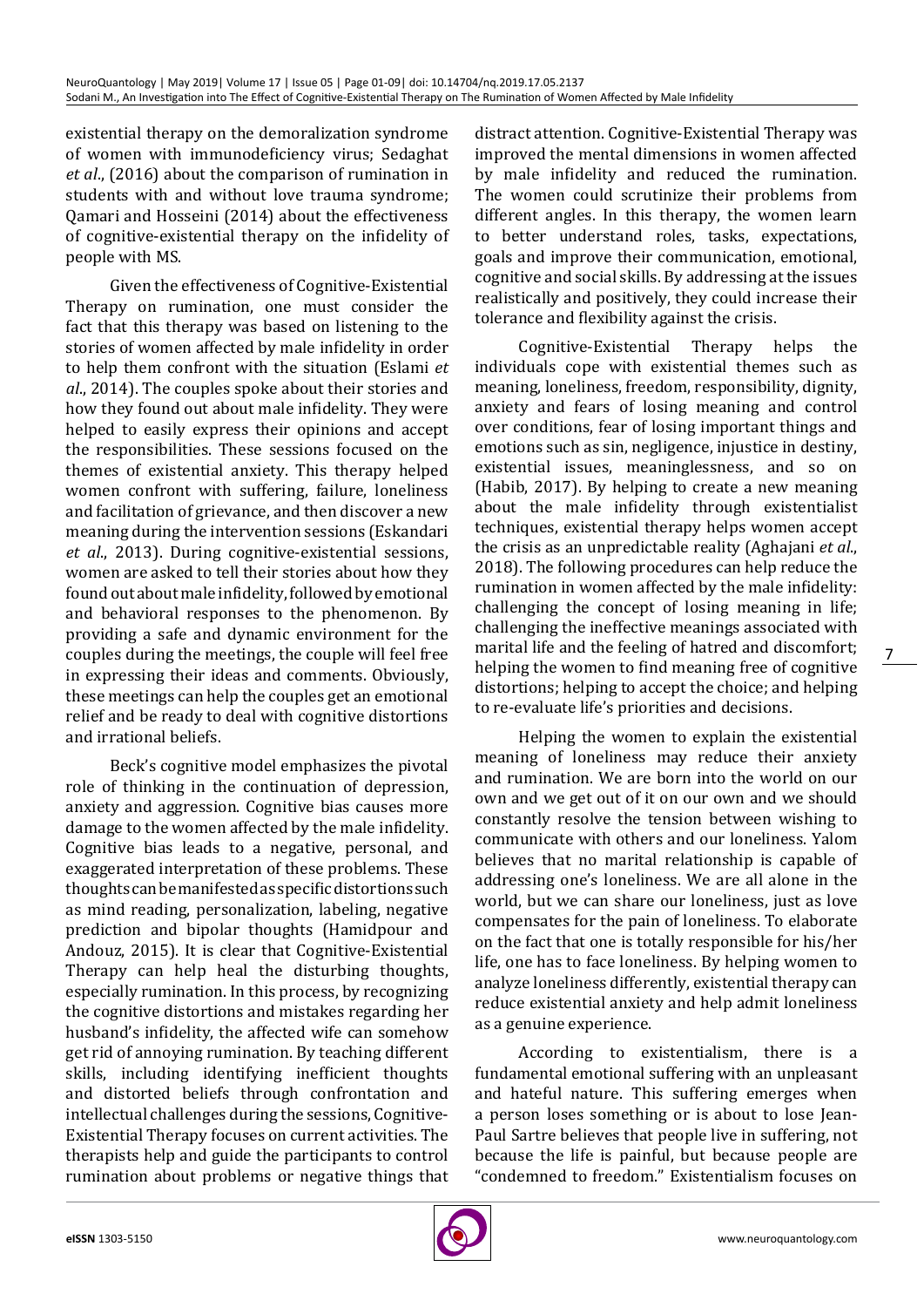existential therapy on the demoralization syndrome of women with immunodeficiency virus; Sedaghat *et al*., (2016) about the comparison of rumination in students with and without love trauma syndrome; Qamari and Hosseini (2014) about the effectiveness of cognitive-existential therapy on the infidelity of people with MS.

Given the effectiveness of Cognitive-Existential Therapy on rumination, one must consider the fact that this therapy was based on listening to the stories of women affected by male infidelity in order to help them confront with the situation (Eslami *et al*., 2014). The couples spoke about their stories and how they found out about male infidelity. They were helped to easily express their opinions and accept the responsibilities. These sessions focused on the themes of existential anxiety. This therapy helped women confront with suffering, failure, loneliness and facilitation of grievance, and then discover a new meaning during the intervention sessions (Eskandari *et al*., 2013). During cognitive-existential sessions, women are asked to tell their stories about how they found out about male infidelity, followed by emotional and behavioral responses to the phenomenon. By providing a safe and dynamic environment for the couples during the meetings, the couple will feel free in expressing their ideas and comments. Obviously, these meetings can help the couples get an emotional relief and be ready to deal with cognitive distortions and irrational beliefs.

Beck's cognitive model emphasizes the pivotal role of thinking in the continuation of depression, anxiety and aggression. Cognitive bias causes more damage to the women affected by the male infidelity. Cognitive bias leads to a negative, personal, and exaggerated interpretation of these problems. These thoughts can be manifested as specific distortions such as mind reading, personalization, labeling, negative prediction and bipolar thoughts (Hamidpour and Andouz, 2015). It is clear that Cognitive-Existential Therapy can help heal the disturbing thoughts, especially rumination. In this process, by recognizing the cognitive distortions and mistakes regarding her husband's infidelity, the affected wife can somehow get rid of annoying rumination. By teaching different skills, including identifying inefficient thoughts and distorted beliefs through confrontation and intellectual challenges during the sessions, Cognitive-Existential Therapy focuses on current activities. The therapists help and guide the participants to control rumination about problems or negative things that

distract attention. Cognitive-Existential Therapy was improved the mental dimensions in women affected by male infidelity and reduced the rumination. The women could scrutinize their problems from different angles. In this therapy, the women learn to better understand roles, tasks, expectations, goals and improve their communication, emotional, cognitive and social skills. By addressing at the issues realistically and positively, they could increase their tolerance and flexibility against the crisis.

Cognitive-Existential Therapy helps the individuals cope with existential themes such as meaning, loneliness, freedom, responsibility, dignity, anxiety and fears of losing meaning and control over conditions, fear of losing important things and emotions such as sin, negligence, injustice in destiny, existential issues, meaninglessness, and so on (Habib, 2017). By helping to create a new meaning about the male infidelity through existentialist techniques, existential therapy helps women accept the crisis as an unpredictable reality (Aghajani *et al*., 2018). The following procedures can help reduce the rumination in women affected by the male infidelity: challenging the concept of losing meaning in life; challenging the ineffective meanings associated with marital life and the feeling of hatred and discomfort; helping the women to find meaning free of cognitive distortions; helping to accept the choice; and helping to re-evaluate life's priorities and decisions.

Helping the women to explain the existential meaning of loneliness may reduce their anxiety and rumination. We are born into the world on our own and we get out of it on our own and we should constantly resolve the tension between wishing to communicate with others and our loneliness. Yalom believes that no marital relationship is capable of addressing one's loneliness. We are all alone in the world, but we can share our loneliness, just as love compensates for the pain of loneliness. To elaborate on the fact that one is totally responsible for his/her life, one has to face loneliness. By helping women to analyze loneliness differently, existential therapy can reduce existential anxiety and help admit loneliness as a genuine experience.

According to existentialism, there is a fundamental emotional suffering with an unpleasant and hateful nature. This suffering emerges when a person loses something or is about to lose Jean-Paul Sartre believes that people live in suffering, not because the life is painful, but because people are "condemned to freedom." Existentialism focuses on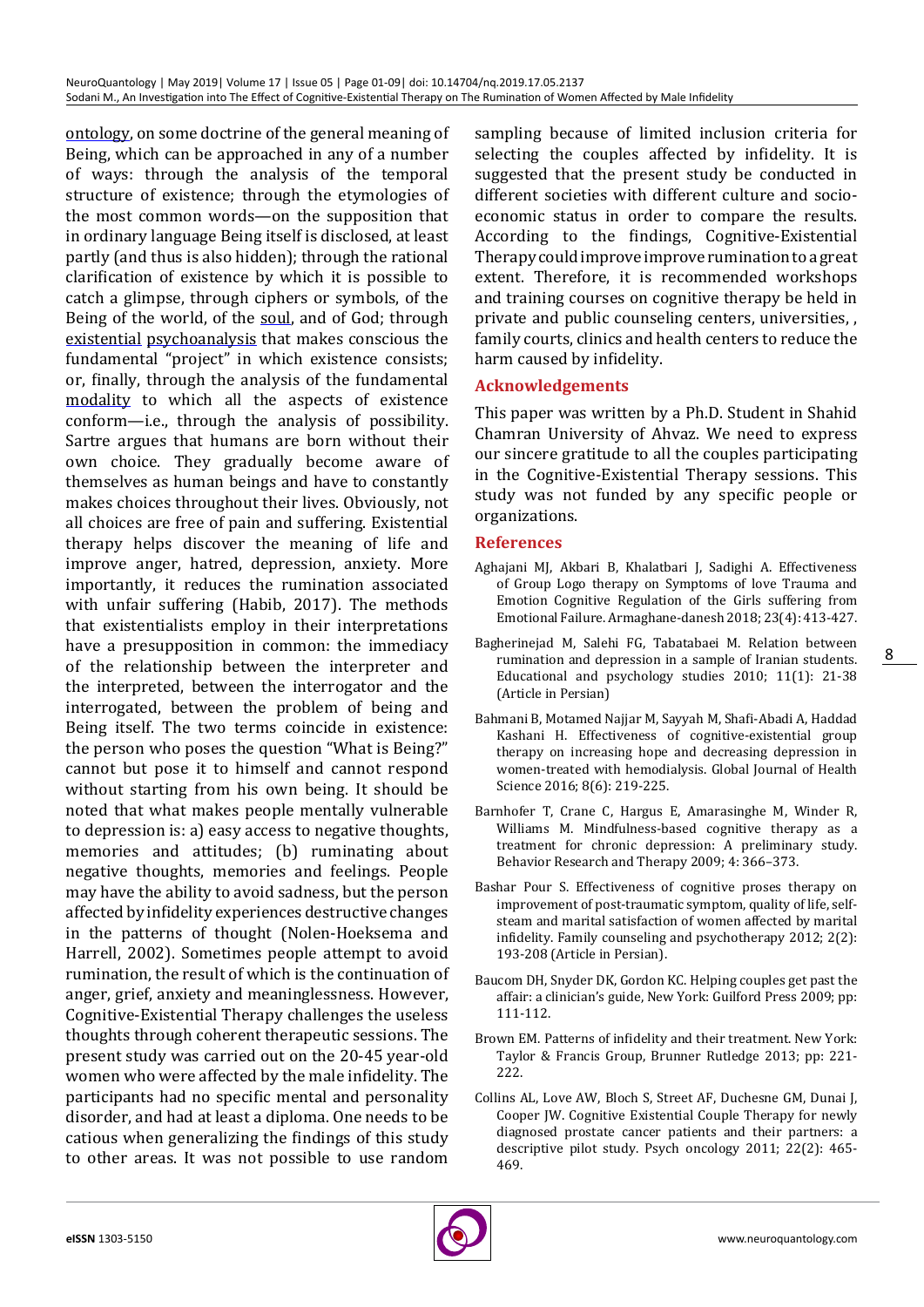[ontology](https://www.britannica.com/topic/ontology-metaphysics), on some doctrine of the general meaning of Being, which can be approached in any of a number of ways: through the analysis of the temporal structure of existence; through the etymologies of the most common words—on the supposition that in ordinary language Being itself is disclosed, at least partly (and thus is also hidden); through the rational clarification of existence by which it is possible to catch a glimpse, through ciphers or symbols, of the Being of the world, of the [soul](https://www.britannica.com/topic/soul-religion-and-philosophy), and of God; through [existential](https://www.merriam-webster.com/dictionary/existential) [psychoanalysis](https://www.britannica.com/science/psychoanalysis) that makes conscious the fundamental "project" in which existence consists; or, finally, through the analysis of the fundamental [modality](https://www.merriam-webster.com/dictionary/modality) to which all the aspects of existence conform—i.e., through the analysis of possibility. Sartre argues that humans are born without their own choice. They gradually become aware of themselves as human beings and have to constantly makes choices throughout their lives. Obviously, not all choices are free of pain and suffering. Existential therapy helps discover the meaning of life and improve anger, hatred, depression, anxiety. More importantly, it reduces the rumination associated with unfair suffering (Habib, 2017). The methods that existentialists employ in their interpretations have a presupposition in common: the immediacy of the relationship between the interpreter and the interpreted, between the interrogator and the interrogated, between the problem of being and Being itself. The two terms coincide in existence: the person who poses the question "What is Being?" cannot but pose it to himself and cannot respond without starting from his own being. It should be noted that what makes people mentally vulnerable to depression is: a) easy access to negative thoughts, memories and attitudes; (b) ruminating about negative thoughts, memories and feelings. People may have the ability to avoid sadness, but the person affected by infidelity experiences destructive changes in the patterns of thought (Nolen-Hoeksema and Harrell, 2002). Sometimes people attempt to avoid rumination, the result of which is the continuation of anger, grief, anxiety and meaninglessness. However, Cognitive-Existential Therapy challenges the useless thoughts through coherent therapeutic sessions. The present study was carried out on the 20-45 year-old women who were affected by the male infidelity. The participants had no specific mental and personality disorder, and had at least a diploma. One needs to be catious when generalizing the findings of this study to other areas. It was not possible to use random sampling because of limited inclusion criteria for selecting the couples affected by infidelity. It is suggested that the present study be conducted in different societies with different culture and socioeconomic status in order to compare the results. According to the findings, Cognitive-Existential Therapy could improve improve rumination to a great extent. Therefore, it is recommended workshops and training courses on cognitive therapy be held in private and public counseling centers, universities, , family courts, clinics and health centers to reduce the harm caused by infidelity.

#### **Acknowledgements**

This paper was written by a Ph.D. Student in Shahid Chamran University of Ahvaz. We need to express our sincere gratitude to all the couples participating in the Cognitive-Existential Therapy sessions. This study was not funded by any specific people or organizations.

#### **References**

- Aghajani MJ, Akbari B, Khalatbari J, Sadighi A. Effectiveness of Group Logo therapy on Symptoms of love Trauma and Emotion Cognitive Regulation of the Girls suffering from Emotional Failure. Armaghane-danesh 2018; 23(4): 413-427.
- Bagherinejad M, Salehi FG, Tabatabaei M. Relation between rumination and depression in a sample of Iranian students. Educational and psychology studies 2010; 11(1): 21-38 (Article in Persian)
- Bahmani B, Motamed Najjar M, Sayyah M, Shafi-Abadi A, Haddad Kashani H. Effectiveness of cognitive-existential group therapy on increasing hope and decreasing depression in women-treated with hemodialysis. Global Journal of Health Science 2016; 8(6): 219-225.
- Barnhofer T, Crane C, Hargus E, Amarasinghe M, Winder R, Williams M. Mindfulness-based cognitive therapy as a treatment for chronic depression: A preliminary study. Behavior Research and Therapy 2009; 4: 366–373.
- Bashar Pour S. Effectiveness of cognitive proses therapy on improvement of post-traumatic symptom, quality of life, selfsteam and marital satisfaction of women affected by marital infidelity. Family counseling and psychotherapy 2012; 2(2): 193-208 (Article in Persian).
- Baucom DH, Snyder DK, Gordon KC. Helping couples get past the affair: a clinician's guide, New York: Guilford Press 2009; pp: 111-112.
- Brown EM. Patterns of infidelity and their treatment. New York: Taylor & Francis Group, Brunner Rutledge 2013; pp: 221- 222.
- [Collins AL,](https://www.ncbi.nlm.nih.gov/pubmed/?term=Collins AL%5BAuthor%5D&cauthor=true&cauthor_uid=21990204) [Love AW](https://www.ncbi.nlm.nih.gov/pubmed/?term=Love AW%5BAuthor%5D&cauthor=true&cauthor_uid=21990204), [Bloch S](https://www.ncbi.nlm.nih.gov/pubmed/?term=Bloch S%5BAuthor%5D&cauthor=true&cauthor_uid=21990204), [Street AF,](https://www.ncbi.nlm.nih.gov/pubmed/?term=Street AF%5BAuthor%5D&cauthor=true&cauthor_uid=21990204) [Duchesne GM,](https://www.ncbi.nlm.nih.gov/pubmed/?term=Duchesne GM%5BAuthor%5D&cauthor=true&cauthor_uid=21990204) [Dunai J,](https://www.ncbi.nlm.nih.gov/pubmed/?term=Dunai J%5BAuthor%5D&cauthor=true&cauthor_uid=21990204) [Cooper JW](https://www.ncbi.nlm.nih.gov/pubmed/?term=Couper JW%5BAuthor%5D&cauthor=true&cauthor_uid=21990204). Cognitive Existential Couple Therapy for newly diagnosed prostate cancer patients and their partners: a descriptive pilot study. Psych oncology 2011; 22(2): 465- 469.